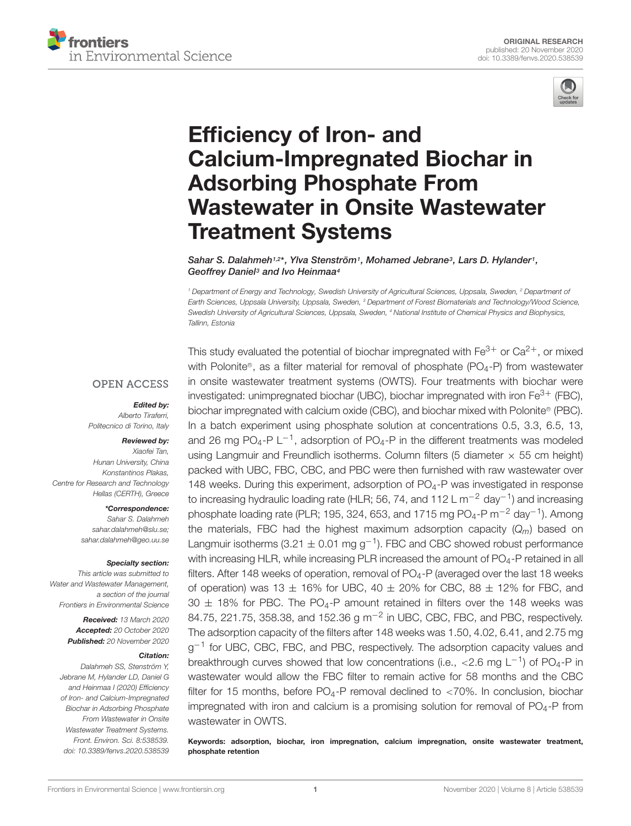



# Efficiency of Iron- and Calcium-Impregnated Biochar in Adsorbing Phosphate From [Wastewater in Onsite Wastewater](https://www.frontiersin.org/articles/10.3389/fenvs.2020.538539/full) Treatment Systems

Sahar S. Dalahmeh<sup>1,2\*</sup>, Ylva Stenström<sup>1</sup>, Mohamed Jebrane<sup>3</sup>, Lars D. Hylander<sup>1</sup>, Geoffrey Daniel<sup>3</sup> and Ivo Heinmaa<sup>4</sup>

<sup>1</sup> Department of Energy and Technology, Swedish University of Agricultural Sciences, Uppsala, Sweden, <sup>2</sup> Department of Earth Sciences, Uppsala University, Uppsala, Sweden, <sup>3</sup> Department of Forest Biomaterials and Technology/Wood Science, Swedish University of Agricultural Sciences, Uppsala, Sweden, <sup>4</sup> National Institute of Chemical Physics and Biophysics, Tallinn, Estonia

#### **OPEN ACCESS**

#### Edited by:

Alberto Tiraferri, Politecnico di Torino, Italy

#### Reviewed by: Xiaofei Tan,

Hunan University, China Konstantinos Plakas, Centre for Research and Technology Hellas (CERTH), Greece

#### \*Correspondence:

Sahar S. Dalahmeh sahar.dalahmeh@slu.se; sahar.dalahmeh@geo.uu.se

#### Specialty section:

This article was submitted to Water and Wastewater Management, a section of the journal Frontiers in Environmental Science

> Received: 13 March 2020 Accepted: 20 October 2020 Published: 20 November 2020

#### Citation:

Dalahmeh SS, Stenström Y, Jebrane M, Hylander LD, Daniel G and Heinmaa I (2020) Efficiency of Iron- and Calcium-Impregnated Biochar in Adsorbing Phosphate From Wastewater in Onsite Wastewater Treatment Systems. Front. Environ. Sci. 8:538539. doi: [10.3389/fenvs.2020.538539](https://doi.org/10.3389/fenvs.2020.538539)

This study evaluated the potential of biochar impregnated with  $Fe^{3+}$  or  $Ca^{2+}$ , or mixed with Polonite®, as a filter material for removal of phosphate (PO<sub>4</sub>-P) from wastewater in onsite wastewater treatment systems (OWTS). Four treatments with biochar were investigated: unimpregnated biochar (UBC), biochar impregnated with iron  $Fe<sup>3+</sup>$  (FBC), biochar impregnated with calcium oxide (CBC), and biochar mixed with Polonite <sup>R</sup> (PBC). In a batch experiment using phosphate solution at concentrations 0.5, 3.3, 6.5, 13, and 26 mg PO<sub>4</sub>-P L<sup>-1</sup>, adsorption of PO<sub>4</sub>-P in the different treatments was modeled using Langmuir and Freundlich isotherms. Column filters (5 diameter  $\times$  55 cm height) packed with UBC, FBC, CBC, and PBC were then furnished with raw wastewater over 148 weeks. During this experiment, adsorption of  $PO<sub>4</sub>-P$  was investigated in response to increasing hydraulic loading rate (HLR; 56, 74, and 112 L m<sup>-2</sup> day<sup>-1</sup>) and increasing phosphate loading rate (PLR; 195, 324, 653, and 1715 mg PO<sub>4</sub>-P m<sup>-2</sup> day<sup>-1</sup>). Among the materials, FBC had the highest maximum adsorption capacity  $(Q_m)$  based on Langmuir isotherms (3.21  $\pm$  0.01 mg g<sup>-1</sup>). FBC and CBC showed robust performance with increasing HLR, while increasing PLR increased the amount of  $PO<sub>4</sub>$ -P retained in all filters. After 148 weeks of operation, removal of  $PO_4$ -P (averaged over the last 18 weeks of operation) was 13  $\pm$  16% for UBC, 40  $\pm$  20% for CBC, 88  $\pm$  12% for FBC, and  $30 \pm 18\%$  for PBC. The PO<sub>4</sub>-P amount retained in filters over the 148 weeks was 84.75, 221.75, 358.38, and 152.36  $g$  m<sup>-2</sup> in UBC, CBC, FBC, and PBC, respectively. The adsorption capacity of the filters after 148 weeks was 1.50, 4.02, 6.41, and 2.75 mg g<sup>-1</sup> for UBC, CBC, FBC, and PBC, respectively. The adsorption capacity values and breakthrough curves showed that low concentrations (i.e., <2.6 mg  $L^{-1}$ ) of PO<sub>4</sub>-P in wastewater would allow the FBC filter to remain active for 58 months and the CBC filter for 15 months, before  $PO_4$ -P removal declined to <70%. In conclusion, biochar impregnated with iron and calcium is a promising solution for removal of  $PO<sub>4</sub> - P$  from wastewater in OWTS.

Keywords: adsorption, biochar, iron impregnation, calcium impregnation, onsite wastewater treatment, phosphate retention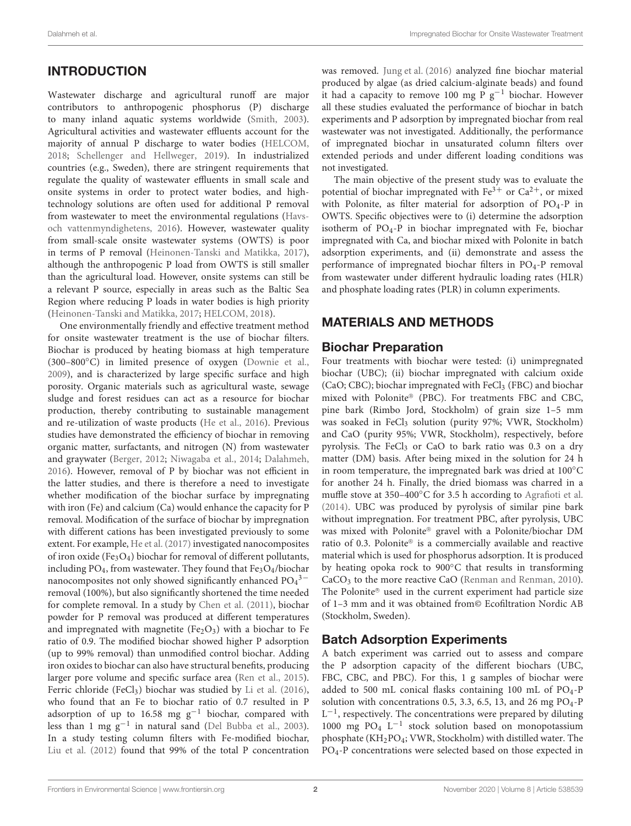# INTRODUCTION

Wastewater discharge and agricultural runoff are major contributors to anthropogenic phosphorus (P) discharge to many inland aquatic systems worldwide [\(Smith,](#page-13-0) [2003\)](#page-13-0). Agricultural activities and wastewater effluents account for the majority of annual P discharge to water bodies [\(HELCOM,](#page-12-0) [2018;](#page-12-0) [Schellenger and Hellweger,](#page-13-1) [2019\)](#page-13-1). In industrialized countries (e.g., Sweden), there are stringent requirements that regulate the quality of wastewater effluents in small scale and onsite systems in order to protect water bodies, and hightechnology solutions are often used for additional P removal from wastewater to meet the environmental regulations [\(Havs](#page-12-1)[och vattenmyndighetens,](#page-12-1) [2016\)](#page-12-1). However, wastewater quality from small-scale onsite wastewater systems (OWTS) is poor in terms of P removal [\(Heinonen-Tanski and Matikka,](#page-12-2) [2017\)](#page-12-2), although the anthropogenic P load from OWTS is still smaller than the agricultural load. However, onsite systems can still be a relevant P source, especially in areas such as the Baltic Sea Region where reducing P loads in water bodies is high priority [\(Heinonen-Tanski and Matikka,](#page-12-2) [2017;](#page-12-2) [HELCOM,](#page-12-0) [2018\)](#page-12-0).

One environmentally friendly and effective treatment method for onsite wastewater treatment is the use of biochar filters. Biochar is produced by heating biomass at high temperature (300–800◦C) in limited presence of oxygen [\(Downie et al.,](#page-12-3) [2009\)](#page-12-3), and is characterized by large specific surface and high porosity. Organic materials such as agricultural waste, sewage sludge and forest residues can act as a resource for biochar production, thereby contributing to sustainable management and re-utilization of waste products [\(He et al.,](#page-12-4) [2016\)](#page-12-4). Previous studies have demonstrated the efficiency of biochar in removing organic matter, surfactants, and nitrogen (N) from wastewater and graywater [\(Berger,](#page-12-5) [2012;](#page-12-5) [Niwagaba et al.,](#page-12-6) [2014;](#page-12-6) [Dalahmeh,](#page-12-7) [2016\)](#page-12-7). However, removal of P by biochar was not efficient in the latter studies, and there is therefore a need to investigate whether modification of the biochar surface by impregnating with iron (Fe) and calcium (Ca) would enhance the capacity for P removal. Modification of the surface of biochar by impregnation with different cations has been investigated previously to some extent. For example, [He et al.](#page-12-8) [\(2017\)](#page-12-8) investigated nanocomposites of iron oxide (Fe<sub>3</sub>O<sub>4</sub>) biochar for removal of different pollutants, including PO<sub>4</sub>, from wastewater. They found that  $Fe<sub>3</sub>O<sub>4</sub>/biochar$ nanocomposites not only showed significantly enhanced  $PO<sub>4</sub><sup>3−</sup>$ removal (100%), but also significantly shortened the time needed for complete removal. In a study by [Chen et al.](#page-12-9) [\(2011\)](#page-12-9), biochar powder for P removal was produced at different temperatures and impregnated with magnetite (Fe<sub>2</sub>O<sub>3</sub>) with a biochar to Fe ratio of 0.9. The modified biochar showed higher P adsorption (up to 99% removal) than unmodified control biochar. Adding iron oxides to biochar can also have structural benefits, producing larger pore volume and specific surface area [\(Ren et al.,](#page-13-2) [2015\)](#page-13-2). Ferric chloride (FeCl<sub>3</sub>) biochar was studied by [Li et al.](#page-12-10) [\(2016\)](#page-12-10), who found that an Fe to biochar ratio of 0.7 resulted in P adsorption of up to 16.58 mg  $g^{-1}$  biochar, compared with less than 1 mg g−<sup>1</sup> in natural sand [\(Del Bubba et al.,](#page-12-11) [2003\)](#page-12-11). In a study testing column filters with Fe-modified biochar, [Liu et al.](#page-12-12) [\(2012\)](#page-12-12) found that 99% of the total P concentration

was removed. [Jung et al.](#page-12-13) [\(2016\)](#page-12-13) analyzed fine biochar material produced by algae (as dried calcium-alginate beads) and found it had a capacity to remove 100 mg P  $g^{-1}$  biochar. However all these studies evaluated the performance of biochar in batch experiments and P adsorption by impregnated biochar from real wastewater was not investigated. Additionally, the performance of impregnated biochar in unsaturated column filters over extended periods and under different loading conditions was not investigated.

The main objective of the present study was to evaluate the potential of biochar impregnated with  $Fe^{3+}$  or  $Ca^{2+}$ , or mixed with Polonite, as filter material for adsorption of  $PO<sub>4</sub>-P$  in OWTS. Specific objectives were to (i) determine the adsorption isotherm of  $PO<sub>4</sub>-P$  in biochar impregnated with Fe, biochar impregnated with Ca, and biochar mixed with Polonite in batch adsorption experiments, and (ii) demonstrate and assess the performance of impregnated biochar filters in PO4-P removal from wastewater under different hydraulic loading rates (HLR) and phosphate loading rates (PLR) in column experiments.

### MATERIALS AND METHODS

#### Biochar Preparation

Four treatments with biochar were tested: (i) unimpregnated biochar (UBC); (ii) biochar impregnated with calcium oxide (CaO; CBC); biochar impregnated with  $FeCl<sub>3</sub>$  (FBC) and biochar mixed with Polonite® (PBC). For treatments FBC and CBC, pine bark (Rimbo Jord, Stockholm) of grain size 1–5 mm was soaked in FeCl<sub>3</sub> solution (purity 97%; VWR, Stockholm) and CaO (purity 95%; VWR, Stockholm), respectively, before pyrolysis. The FeCl<sub>3</sub> or CaO to bark ratio was  $0.3$  on a dry matter (DM) basis. After being mixed in the solution for 24 h in room temperature, the impregnated bark was dried at 100◦C for another 24 h. Finally, the dried biomass was charred in a muffle stove at 350–400℃ for 3.5 h according to [Agrafioti et al.](#page-12-14) [\(2014\)](#page-12-14). UBC was produced by pyrolysis of similar pine bark without impregnation. For treatment PBC, after pyrolysis, UBC was mixed with Polonite® gravel with a Polonite/biochar DM ratio of 0.3. Polonite® is a commercially available and reactive material which is used for phosphorus adsorption. It is produced by heating opoka rock to 900◦C that results in transforming CaCO<sub>3</sub> to the more reactive CaO [\(Renman and Renman,](#page-13-3) [2010\)](#page-13-3). The Polonite® used in the current experiment had particle size of 1–3 mm and it was obtained from© Ecofiltration Nordic AB (Stockholm, Sweden).

# Batch Adsorption Experiments

A batch experiment was carried out to assess and compare the P adsorption capacity of the different biochars (UBC, FBC, CBC, and PBC). For this, 1 g samples of biochar were added to 500 mL conical flasks containing 100 mL of  $PO<sub>4</sub>$ -P solution with concentrations 0.5, 3.3, 6.5, 13, and 26 mg  $PO<sub>4</sub> - P$ L<sup>-1</sup>, respectively. The concentrations were prepared by diluting 1000 mg PO<sub>4</sub> L<sup>-1</sup> stock solution based on monopotassium phosphate (KH2PO4; VWR, Stockholm) with distilled water. The PO4-P concentrations were selected based on those expected in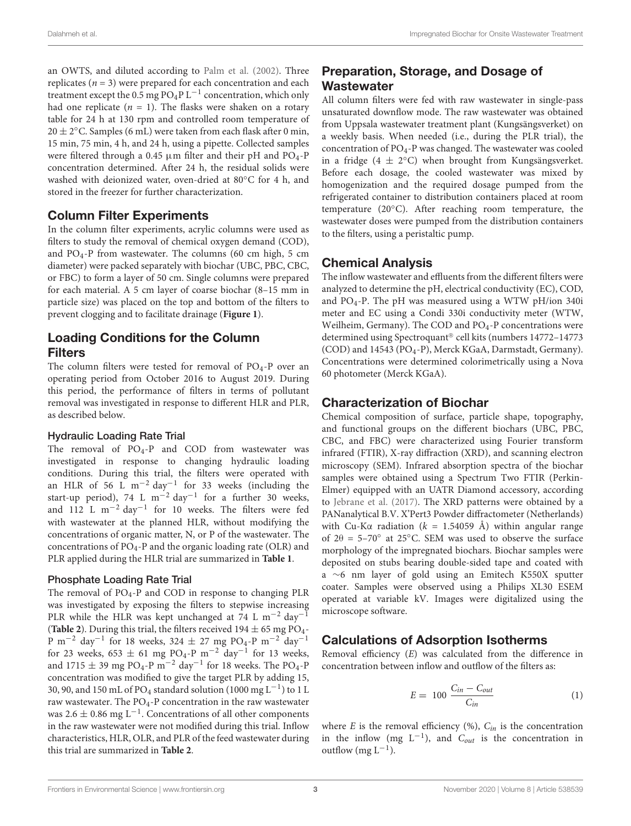an OWTS, and diluted according to [Palm et al.](#page-12-15) [\(2002\)](#page-12-15). Three replicates ( $n = 3$ ) were prepared for each concentration and each treatment except the  $0.5$  mg PO<sub>4</sub>P L<sup>-1</sup> concentration, which only had one replicate  $(n = 1)$ . The flasks were shaken on a rotary table for 24 h at 130 rpm and controlled room temperature of  $20 \pm 2^{\circ}$ C. Samples (6 mL) were taken from each flask after 0 min, 15 min, 75 min, 4 h, and 24 h, using a pipette. Collected samples were filtered through a 0.45  $\mu$ m filter and their pH and PO<sub>4</sub>-P concentration determined. After 24 h, the residual solids were washed with deionized water, oven-dried at 80◦C for 4 h, and stored in the freezer for further characterization.

#### Column Filter Experiments

In the column filter experiments, acrylic columns were used as filters to study the removal of chemical oxygen demand (COD), and  $PO<sub>4</sub>-P$  from wastewater. The columns (60 cm high, 5 cm diameter) were packed separately with biochar (UBC, PBC, CBC, or FBC) to form a layer of 50 cm. Single columns were prepared for each material. A 5 cm layer of coarse biochar (8–15 mm in particle size) was placed on the top and bottom of the filters to prevent clogging and to facilitate drainage (**[Figure 1](#page-3-0)**).

### Loading Conditions for the Column Filters

The column filters were tested for removal of PO<sub>4</sub>-P over an operating period from October 2016 to August 2019. During this period, the performance of filters in terms of pollutant removal was investigated in response to different HLR and PLR, as described below.

#### Hydraulic Loading Rate Trial

The removal of  $PO_4$ -P and  $COD$  from wastewater was investigated in response to changing hydraulic loading conditions. During this trial, the filters were operated with an HLR of 56 L m<sup>-2</sup> day<sup>-1</sup> for 33 weeks (including the start-up period), 74 L m<sup>-2</sup> day<sup>-1</sup> for a further 30 weeks, and 112 L m<sup>-2</sup> day<sup>-1</sup> for 10 weeks. The filters were fed with wastewater at the planned HLR, without modifying the concentrations of organic matter, N, or P of the wastewater. The concentrations of  $PO_4$ -P and the organic loading rate (OLR) and PLR applied during the HLR trial are summarized in **[Table 1](#page-3-1)**.

#### Phosphate Loading Rate Trial

The removal of PO<sub>4</sub>-P and COD in response to changing PLR was investigated by exposing the filters to stepwise increasing PLR while the HLR was kept unchanged at 74 L m<sup>-2</sup> day<sup>-1</sup> (**[Table 2](#page-3-2)**). During this trial, the filters received  $194 \pm 65$  mg PO<sub>4</sub>-P m<sup>-2</sup> day<sup>-1</sup> for 18 weeks, 324 ± 27 mg PO<sub>4</sub>-P m<sup>-2</sup> day<sup>-1</sup> for 23 weeks, 653  $\pm$  61 mg PO<sub>4</sub>-P m<sup>-2</sup> day<sup>-1</sup> for 13 weeks, and 1715  $\pm$  39 mg PO<sub>4</sub>-P m<sup>-2</sup> day<sup>-1</sup> for 18 weeks. The PO<sub>4</sub>-P concentration was modified to give the target PLR by adding 15, 30, 90, and 150 mL of PO<sub>4</sub> standard solution (1000 mg L<sup>-1</sup>) to 1 L raw wastewater. The  $PO<sub>4</sub>$ -P concentration in the raw wastewater was 2.6  $\pm$  0.86 mg L<sup>-1</sup>. Concentrations of all other components in the raw wastewater were not modified during this trial. Inflow characteristics, HLR, OLR, and PLR of the feed wastewater during this trial are summarized in **[Table 2](#page-3-2)**.

# Preparation, Storage, and Dosage of **Wastewater**

All column filters were fed with raw wastewater in single-pass unsaturated downflow mode. The raw wastewater was obtained from Uppsala wastewater treatment plant (Kungsängsverket) on a weekly basis. When needed (i.e., during the PLR trial), the concentration of  $PO_4$ -P was changed. The wastewater was cooled in a fridge (4  $\pm$  2°C) when brought from Kungsängsverket. Before each dosage, the cooled wastewater was mixed by homogenization and the required dosage pumped from the refrigerated container to distribution containers placed at room temperature (20◦C). After reaching room temperature, the wastewater doses were pumped from the distribution containers to the filters, using a peristaltic pump.

#### Chemical Analysis

The inflow wastewater and effluents from the different filters were analyzed to determine the pH, electrical conductivity (EC), COD, and PO4-P. The pH was measured using a WTW pH/ion 340i meter and EC using a Condi 330i conductivity meter (WTW, Weilheim, Germany). The COD and PO4-P concentrations were determined using Spectroquant® cell kits (numbers 14772-14773 (COD) and 14543 (PO<sub>4</sub>-P), Merck KGaA, Darmstadt, Germany). Concentrations were determined colorimetrically using a Nova 60 photometer (Merck KGaA).

#### Characterization of Biochar

Chemical composition of surface, particle shape, topography, and functional groups on the different biochars (UBC, PBC, CBC, and FBC) were characterized using Fourier transform infrared (FTIR), X-ray diffraction (XRD), and scanning electron microscopy (SEM). Infrared absorption spectra of the biochar samples were obtained using a Spectrum Two FTIR (Perkin-Elmer) equipped with an UATR Diamond accessory, according to [Jebrane et al.](#page-12-16) [\(2017\)](#page-12-16). The XRD patterns were obtained by a PANanalytical B.V. X'Pert3 Powder diffractometer (Netherlands) with Cu-K $\alpha$  radiation ( $k = 1.54059$  Å) within angular range of  $2\theta = 5-70^\circ$  at 25°C. SEM was used to observe the surface morphology of the impregnated biochars. Biochar samples were deposited on stubs bearing double-sided tape and coated with a ∼6 nm layer of gold using an Emitech K550X sputter coater. Samples were observed using a Philips XL30 ESEM operated at variable kV. Images were digitalized using the microscope software.

#### Calculations of Adsorption Isotherms

Removal efficiency (E) was calculated from the difference in concentration between inflow and outflow of the filters as:

$$
E = 100 \frac{C_{in} - C_{out}}{C_{in}} \tag{1}
$$

where E is the removal efficiency  $(\%)$ ,  $C_{in}$  is the concentration in the inflow (mg  $L^{-1}$ ), and  $C_{out}$  is the concentration in outflow  $(mg L^{-1})$ .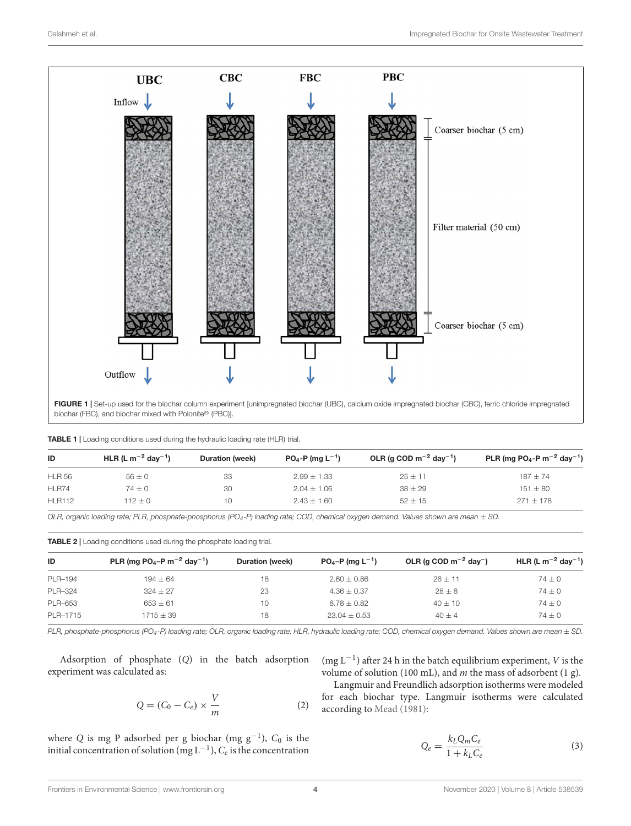

<span id="page-3-1"></span><span id="page-3-0"></span>

|  |  | TABLE 1   Loading conditions used during the hydraulic loading rate (HLR) trial. |  |  |  |  |  |  |  |  |
|--|--|----------------------------------------------------------------------------------|--|--|--|--|--|--|--|--|
|--|--|----------------------------------------------------------------------------------|--|--|--|--|--|--|--|--|

| ID            | HLR (L m <sup>-2</sup> day <sup>-1</sup> ) | <b>Duration (week)</b> | $PO_4$ -P (mg L <sup>-1</sup> ) | OLR (g COD $m^{-2}$ day <sup>-1</sup> ) | PLR (mg PO <sub>4</sub> -P m <sup>-2</sup> day <sup>-1</sup> ) |
|---------------|--------------------------------------------|------------------------|---------------------------------|-----------------------------------------|----------------------------------------------------------------|
| <b>HLR 56</b> | $56 \pm 0$                                 | 33                     | $2.99 \pm 1.33$                 | $25 + 11$                               | $187 + 74$                                                     |
| HLR74         | $74 \pm 0$                                 | 30                     | $2.04 \pm 1.06$                 | $38 \pm 29$                             | $151 \pm 80$                                                   |
| <b>HLR112</b> | $112 + 0$                                  | 10                     | $2.43 + 1.60$                   | $52 + 15$                               | $271 + 178$                                                    |

OLR, organic loading rate; PLR, phosphate-phosphorus (PO<sub>4</sub>-P) loading rate; COD, chemical oxygen demand. Values shown are mean  $\pm$  SD.

<span id="page-3-2"></span>TABLE 2 | Loading conditions used during the phosphate loading trial.

| ID             | PLR (mg PO <sub>4</sub> -P m <sup>-2</sup> day <sup>-1</sup> ) | Duration (week) | $PO_4-P$ (mg L <sup>-1</sup> ) | OLR (g COD $m^{-2}$ day <sup>-</sup> ) | HLR (L m <sup>-2</sup> day <sup>-1</sup> ) |
|----------------|----------------------------------------------------------------|-----------------|--------------------------------|----------------------------------------|--------------------------------------------|
| PLR-194        | $194 \pm 64$                                                   | 18              | $2.60 \pm 0.86$                | $26 + 11$                              | $74 \pm 0$                                 |
| <b>PLR-324</b> | $324 \pm 27$                                                   | 23              | $4.36 \pm 0.37$                | $28 \pm 8$                             | $74 \pm 0$                                 |
| PLR-653        | $653 \pm 61$                                                   | 10              | $8.78 \pm 0.82$                | $40 \pm 10$                            | $74 \pm 0$                                 |
| PLR-1715       | $1715 + 39$                                                    | 18              | $23.04 + 0.53$                 | $40 + 4$                               | $74 + 0$                                   |

PLR, phosphate-phosphorus (PO<sub>4</sub>-P) loading rate; OLR, organic loading rate; HLR, hydraulic loading rate; COD, chemical oxygen demand. Values shown are mean  $\pm$  SD.

Adsorption of phosphate (Q) in the batch adsorption experiment was calculated as:

$$
Q = (C_0 - C_e) \times \frac{V}{m}
$$
 (2)

where Q is mg P adsorbed per g biochar (mg  $g^{-1}$ ),  $C_0$  is the initial concentration of solution (mg  $L^{-1}$ ),  $C_e$  is the concentration

(mg  $L^{-1}$ ) after 24 h in the batch equilibrium experiment, V is the volume of solution (100 mL), and  $m$  the mass of adsorbent (1 g).

Langmuir and Freundlich adsorption isotherms were modeled for each biochar type. Langmuir isotherms were calculated according to [Mead](#page-12-17) [\(1981\)](#page-12-17):

$$
Q_e = \frac{k_L Q_m C_e}{1 + k_L C_e} \tag{3}
$$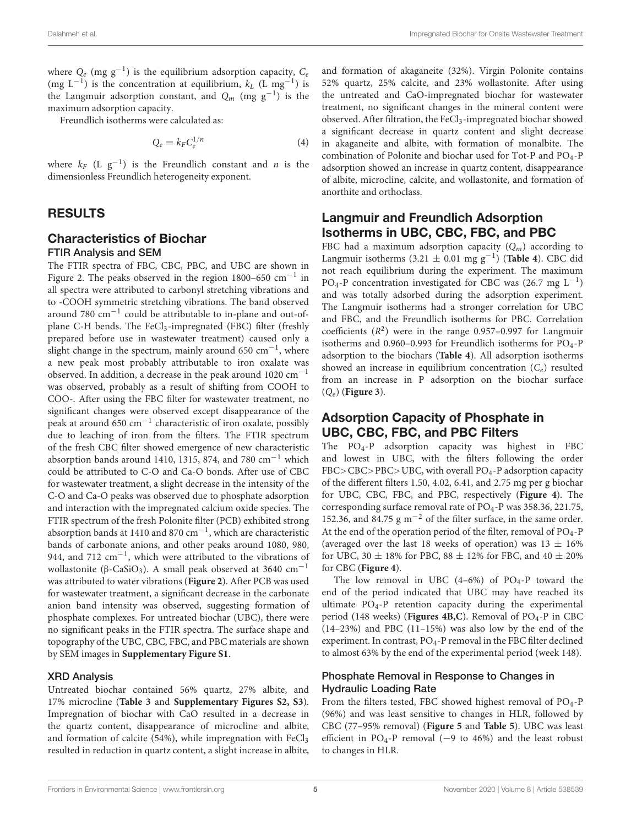where  $Q_e$  (mg  $g^{-1}$ ) is the equilibrium adsorption capacity,  $C_e$ (mg  $L^{-1}$ ) is the concentration at equilibrium,  $k_L$  (L mg<sup>-1</sup>) is the Langmuir adsorption constant, and  $Q_m$  (mg  $g^{-1}$ ) is the maximum adsorption capacity.

Freundlich isotherms were calculated as:

$$
Q_e = k_F C_e^{1/n} \tag{4}
$$

where  $k_F$  (L  $g^{-1}$ ) is the Freundlich constant and *n* is the dimensionless Freundlich heterogeneity exponent.

#### RESULTS

#### Characteristics of Biochar FTIR Analysis and SEM

The FTIR spectra of FBC, CBC, PBC, and UBC are shown in Figure 2. The peaks observed in the region  $1800-650$  cm<sup>-1</sup> in all spectra were attributed to carbonyl stretching vibrations and to -COOH symmetric stretching vibrations. The band observed around 780 cm−<sup>1</sup> could be attributable to in-plane and out-ofplane C-H bends. The FeCl<sub>3</sub>-impregnated (FBC) filter (freshly prepared before use in wastewater treatment) caused only a slight change in the spectrum, mainly around 650 cm−<sup>1</sup> , where a new peak most probably attributable to iron oxalate was observed. In addition, a decrease in the peak around 1020 cm−<sup>1</sup> was observed, probably as a result of shifting from COOH to COO-. After using the FBC filter for wastewater treatment, no significant changes were observed except disappearance of the peak at around 650 cm−<sup>1</sup> characteristic of iron oxalate, possibly due to leaching of iron from the filters. The FTIR spectrum of the fresh CBC filter showed emergence of new characteristic absorption bands around 1410, 1315, 874, and 780 cm−<sup>1</sup> which could be attributed to C-O and Ca-O bonds. After use of CBC for wastewater treatment, a slight decrease in the intensity of the C-O and Ca-O peaks was observed due to phosphate adsorption and interaction with the impregnated calcium oxide species. The FTIR spectrum of the fresh Polonite filter (PCB) exhibited strong absorption bands at 1410 and 870 cm−<sup>1</sup> , which are characteristic bands of carbonate anions, and other peaks around 1080, 980, 944, and 712 cm<sup>-1</sup>, which were attributed to the vibrations of wollastonite (β-CaSiO<sub>3</sub>). A small peak observed at 3640 cm<sup>-1</sup> was attributed to water vibrations (**[Figure 2](#page-5-0)**). After PCB was used for wastewater treatment, a significant decrease in the carbonate anion band intensity was observed, suggesting formation of phosphate complexes. For untreated biochar (UBC), there were no significant peaks in the FTIR spectra. The surface shape and topography of the UBC, CBC, FBC, and PBC materials are shown by SEM images in **[Supplementary Figure S1](#page-12-18)**.

#### XRD Analysis

Untreated biochar contained 56% quartz, 27% albite, and 17% microcline (**[Table 3](#page-6-0)** and **[Supplementary Figures S2, S3](#page-12-18)**). Impregnation of biochar with CaO resulted in a decrease in the quartz content, disappearance of microcline and albite, and formation of calcite (54%), while impregnation with FeCl3 resulted in reduction in quartz content, a slight increase in albite,

and formation of akaganeite (32%). Virgin Polonite contains 52% quartz, 25% calcite, and 23% wollastonite. After using the untreated and CaO-impregnated biochar for wastewater treatment, no significant changes in the mineral content were observed. After filtration, the FeCl<sub>3</sub>-impregnated biochar showed a significant decrease in quartz content and slight decrease in akaganeite and albite, with formation of monalbite. The combination of Polonite and biochar used for Tot-P and PO4-P adsorption showed an increase in quartz content, disappearance of albite, microcline, calcite, and wollastonite, and formation of anorthite and orthoclass.

#### Langmuir and Freundlich Adsorption Isotherms in UBC, CBC, FBC, and PBC

FBC had a maximum adsorption capacity  $(Q_m)$  according to Langmuir isotherms (3.21 ± 0.01 mg g−<sup>1</sup> ) (**[Table 4](#page-6-1)**). CBC did not reach equilibrium during the experiment. The maximum PO<sub>4</sub>-P concentration investigated for CBC was (26.7 mg L<sup>-1</sup>) and was totally adsorbed during the adsorption experiment. The Langmuir isotherms had a stronger correlation for UBC and FBC, and the Freundlich isotherms for PBC. Correlation coefficients  $(R^2)$  were in the range 0.957-0.997 for Langmuir isotherms and  $0.960-0.993$  for Freundlich isotherms for  $PO<sub>4</sub>-P$ adsorption to the biochars (**[Table 4](#page-6-1)**). All adsorption isotherms showed an increase in equilibrium concentration  $(C_e)$  resulted from an increase in P adsorption on the biochar surface (Qe) (**[Figure 3](#page-7-0)**).

#### Adsorption Capacity of Phosphate in UBC, CBC, FBC, and PBC Filters

The PO4-P adsorption capacity was highest in FBC and lowest in UBC, with the filters following the order  $FBC > CBC > PBC > UBC$ , with overall  $PO<sub>4</sub> - P$  adsorption capacity of the different filters 1.50, 4.02, 6.41, and 2.75 mg per g biochar for UBC, CBC, FBC, and PBC, respectively (**[Figure 4](#page-8-0)**). The corresponding surface removal rate of PO4-P was 358.36, 221.75, 152.36, and 84.75 g m−<sup>2</sup> of the filter surface, in the same order. At the end of the operation period of the filter, removal of  $PO_{4}$ -P (averaged over the last 18 weeks of operation) was  $13 \pm 16\%$ for UBC, 30  $\pm$  18% for PBC, 88  $\pm$  12% for FBC, and 40  $\pm$  20% for CBC (**[Figure 4](#page-8-0)**).

The low removal in UBC  $(4-6%)$  of PO<sub>4</sub>-P toward the end of the period indicated that UBC may have reached its ultimate PO4-P retention capacity during the experimental period (148 weeks) (**[Figures 4B,C](#page-8-0)**). Removal of PO<sub>4</sub>-P in CBC (14–23%) and PBC (11–15%) was also low by the end of the experiment. In contrast, PO<sub>4</sub>-P removal in the FBC filter declined to almost 63% by the end of the experimental period (week 148).

#### Phosphate Removal in Response to Changes in Hydraulic Loading Rate

From the filters tested, FBC showed highest removal of  $PO<sub>4</sub>$ -P (96%) and was least sensitive to changes in HLR, followed by CBC (77–95% removal) (**[Figure 5](#page-9-0)** and **[Table 5](#page-9-1)**). UBC was least efficient in PO4-P removal (−9 to 46%) and the least robust to changes in HLR.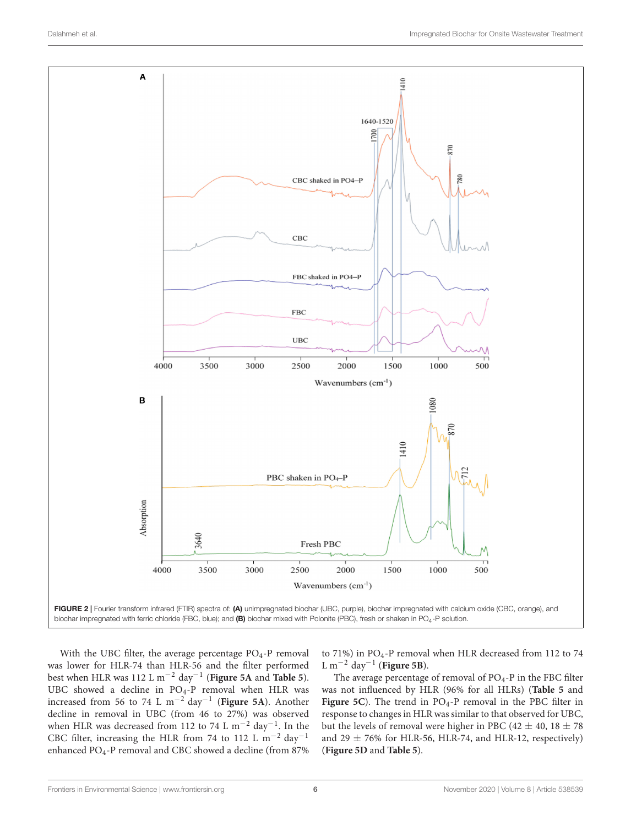



<span id="page-5-0"></span>With the UBC filter, the average percentage PO<sub>4</sub>-P removal was lower for HLR-74 than HLR-56 and the filter performed best when HLR was 112 L m−<sup>2</sup> day−<sup>1</sup> (**[Figure 5A](#page-9-0)** and **[Table 5](#page-9-1)**). UBC showed a decline in PO4-P removal when HLR was increased from 56 to 74 L m−<sup>2</sup> day−<sup>1</sup> (**[Figure 5A](#page-9-0)**). Another decline in removal in UBC (from 46 to 27%) was observed when HLR was decreased from 112 to 74 L m<sup>-2</sup> day<sup>-1</sup>. In the CBC filter, increasing the HLR from 74 to 112 L m−<sup>2</sup> day−<sup>1</sup> enhanced PO<sub>4</sub>-P removal and CBC showed a decline (from 87%

to 71%) in PO<sub>4</sub>-P removal when HLR decreased from 112 to 74 L m−<sup>2</sup> day−<sup>1</sup> (**[Figure 5B](#page-9-0)**).

The average percentage of removal of  $PO<sub>4</sub>-P$  in the FBC filter was not influenced by HLR (96% for all HLRs) (**[Table 5](#page-9-1)** and [Figure 5C](#page-9-0)). The trend in PO<sub>4</sub>-P removal in the PBC filter in response to changes in HLR was similar to that observed for UBC, but the levels of removal were higher in PBC (42  $\pm$  40, 18  $\pm$  78 and  $29 \pm 76\%$  for HLR-56, HLR-74, and HLR-12, respectively) (**[Figure 5D](#page-9-0)** and **[Table 5](#page-9-1)**).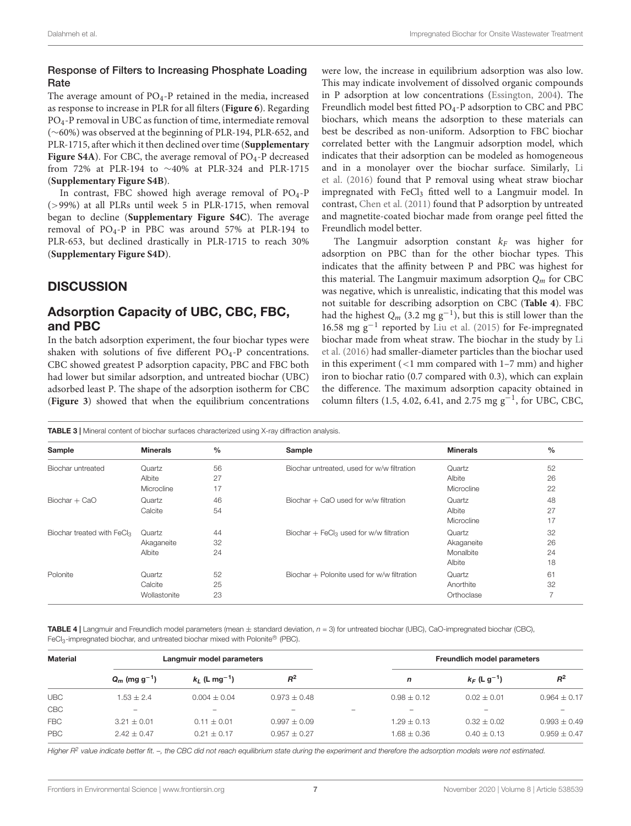#### Response of Filters to Increasing Phosphate Loading **Rate**

The average amount of  $PO<sub>4</sub>-P$  retained in the media, increased as response to increase in PLR for all filters (**[Figure 6](#page-10-0)**). Regarding PO4-P removal in UBC as function of time, intermediate removal (∼60%) was observed at the beginning of PLR-194, PLR-652, and PLR-1715, after which it then declined over time (**[Supplementary](#page-12-18)** [Figure S4A](#page-12-18)). For CBC, the average removal of PO<sub>4</sub>-P decreased from 72% at PLR-194 to ∼40% at PLR-324 and PLR-1715 (**[Supplementary Figure S4B](#page-12-18)**).

In contrast, FBC showed high average removal of PO<sub>4</sub>-P (>99%) at all PLRs until week 5 in PLR-1715, when removal began to decline (**[Supplementary Figure S4C](#page-12-18)**). The average removal of PO4-P in PBC was around 57% at PLR-194 to PLR-653, but declined drastically in PLR-1715 to reach 30% (**[Supplementary Figure S4D](#page-12-18)**).

# **DISCUSSION**

### Adsorption Capacity of UBC, CBC, FBC, and PBC

In the batch adsorption experiment, the four biochar types were shaken with solutions of five different  $PO<sub>4</sub>$ -P concentrations. CBC showed greatest P adsorption capacity, PBC and FBC both had lower but similar adsorption, and untreated biochar (UBC) adsorbed least P. The shape of the adsorption isotherm for CBC (**[Figure 3](#page-7-0)**) showed that when the equilibrium concentrations

were low, the increase in equilibrium adsorption was also low. This may indicate involvement of dissolved organic compounds in P adsorption at low concentrations [\(Essington,](#page-12-19) [2004\)](#page-12-19). The Freundlich model best fitted PO<sub>4</sub>-P adsorption to CBC and PBC biochars, which means the adsorption to these materials can best be described as non-uniform. Adsorption to FBC biochar correlated better with the Langmuir adsorption model, which indicates that their adsorption can be modeled as homogeneous and in a monolayer over the biochar surface. Similarly, [Li](#page-12-10) [et al.](#page-12-10) [\(2016\)](#page-12-10) found that P removal using wheat straw biochar impregnated with FeCl3 fitted well to a Langmuir model. In contrast, [Chen et al.](#page-12-9) [\(2011\)](#page-12-9) found that P adsorption by untreated and magnetite-coated biochar made from orange peel fitted the Freundlich model better.

The Langmuir adsorption constant  $k_F$  was higher for adsorption on PBC than for the other biochar types. This indicates that the affinity between P and PBC was highest for this material. The Langmuir maximum adsorption  $Q_m$  for CBC was negative, which is unrealistic, indicating that this model was not suitable for describing adsorption on CBC (**[Table 4](#page-6-1)**). FBC had the highest  $Q_m$  (3.2 mg g<sup>-1</sup>), but this is still lower than the 16.58 mg g−<sup>1</sup> reported by [Liu et al.](#page-12-20) [\(2015\)](#page-12-20) for Fe-impregnated biochar made from wheat straw. The biochar in the study by [Li](#page-12-10) [et al.](#page-12-10) [\(2016\)](#page-12-10) had smaller-diameter particles than the biochar used in this experiment (<1 mm compared with 1–7 mm) and higher iron to biochar ratio (0.7 compared with 0.3), which can explain the difference. The maximum adsorption capacity obtained in column filters (1.5, 4.02, 6.41, and 2.75 mg  $g^{-1}$ , for UBC, CBC,

<span id="page-6-0"></span>TABLE 3 | Mineral content of biochar surfaces characterized using X-ray diffraction analysis.

| Sample                       | <b>Minerals</b> | $\frac{0}{0}$ | Sample                                              | <b>Minerals</b> | $\frac{0}{0}$  |
|------------------------------|-----------------|---------------|-----------------------------------------------------|-----------------|----------------|
| Biochar untreated            | Quartz          | 56            | Biochar untreated, used for w/w filtration          | Quartz          | 52             |
|                              | Albite          | 27            |                                                     | Albite          | 26             |
|                              | Microcline      | 17            |                                                     | Microcline      | 22             |
| Biochar + CaO                | Quartz          | 46            | Biochar $+$ CaO used for w/w filtration             | Quartz          | 48             |
|                              | Calcite         | 54            |                                                     | Albite          | 27             |
|                              |                 |               |                                                     | Microcline      | 17             |
| Biochar treated with $FeCl3$ | Quartz          | 44            | Biochar + FeCl <sub>3</sub> used for w/w filtration | Quartz          | 32             |
|                              | Akaganeite      | 32            |                                                     | Akaganeite      | 26             |
|                              | Albite          | 24            |                                                     | Monalbite       | 24             |
|                              |                 |               |                                                     | Albite          | 18             |
| Polonite                     | Quartz          | 52            | Biochar + Polonite used for w/w filtration          | Quartz          | 61             |
|                              | Calcite         | 25            |                                                     | Anorthite       | 32             |
|                              | Wollastonite    | 23            |                                                     | Orthoclase      | $\overline{7}$ |

<span id="page-6-1"></span>**TABLE 4** | Langmuir and Freundlich model parameters (mean  $\pm$  standard deviation,  $n = 3$ ) for untreated biochar (UBC), CaO-impregnated biochar (CBC), FeCl<sub>3</sub>-impregnated biochar, and untreated biochar mixed with Polonite® (PBC).

| <b>Material</b> | Langmuir model parameters   |                             | <b>Freundlich model parameters</b> |                          |                          |                            |                  |
|-----------------|-----------------------------|-----------------------------|------------------------------------|--------------------------|--------------------------|----------------------------|------------------|
|                 | $Q_m$ (mg g <sup>-1</sup> ) | $k_1$ (L mg <sup>-1</sup> ) | $R^2$                              |                          | $\mathsf{n}$             | $k_F$ (L g <sup>-1</sup> ) | $R^2$            |
| <b>UBC</b>      | $1.53 + 2.4$                | $0.004 + 0.04$              | $0.973 + 0.48$                     |                          | $0.98 + 0.12$            | $0.02 + 0.01$              | $0.964 \pm 0.17$ |
| CBC             | $\overline{\phantom{0}}$    | $\overline{\phantom{a}}$    | $\overline{\phantom{0}}$           | $\overline{\phantom{a}}$ | $\overline{\phantom{a}}$ | $\overline{\phantom{a}}$   |                  |
| <b>FBC</b>      | $3.21 + 0.01$               | $0.11 + 0.01$               | $0.997 + 0.09$                     |                          | $1.29 + 0.13$            | $0.32 + 0.02$              | $0.993 + 0.49$   |
| <b>PBC</b>      | $2.42 \pm 0.47$             | $0.21 + 0.17$               | $0.957 \pm 0.27$                   |                          | $1.68 \pm 0.36$          | $0.40 + 0.13$              | $0.959 + 0.47$   |

Higher R<sup>2</sup> value indicate better fit. -, the CBC did not reach equilibrium state during the experiment and therefore the adsorption models were not estimated.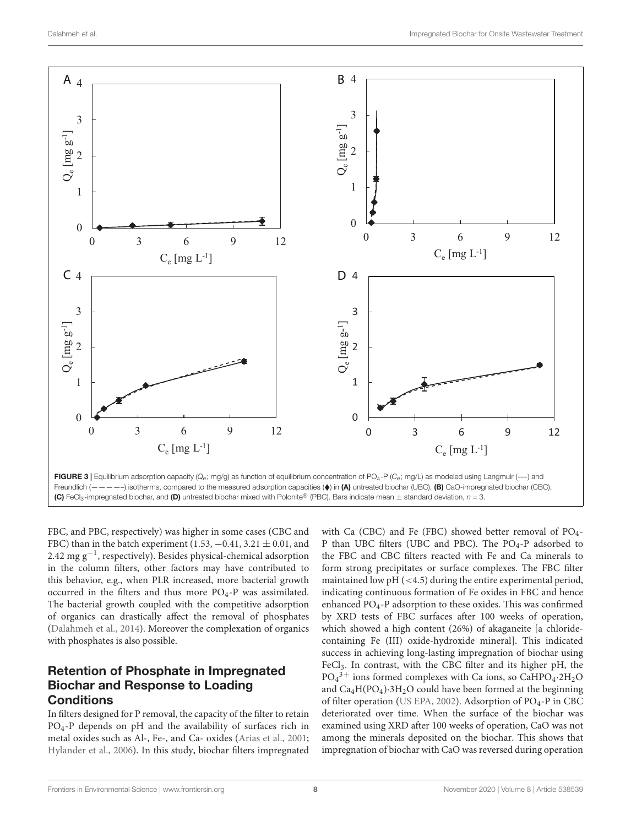

<span id="page-7-0"></span>FBC, and PBC, respectively) was higher in some cases (CBC and FBC) than in the batch experiment (1.53,  $-0.41$ , 3.21  $\pm$  0.01, and 2.42 mg g−<sup>1</sup> , respectively). Besides physical-chemical adsorption in the column filters, other factors may have contributed to this behavior, e.g., when PLR increased, more bacterial growth occurred in the filters and thus more  $PO<sub>4</sub>$ -P was assimilated. The bacterial growth coupled with the competitive adsorption of organics can drastically affect the removal of phosphates [\(Dalahmeh et al.,](#page-12-21) [2014\)](#page-12-21). Moreover the complexation of organics with phosphates is also possible.

### Retention of Phosphate in Impregnated Biochar and Response to Loading **Conditions**

In filters designed for P removal, the capacity of the filter to retain PO4-P depends on pH and the availability of surfaces rich in metal oxides such as Al-, Fe-, and Ca- oxides [\(Arias et al.,](#page-12-22) [2001;](#page-12-22) [Hylander et al.,](#page-12-23) [2006\)](#page-12-23). In this study, biochar filters impregnated

with Ca (CBC) and Fe (FBC) showed better removal of PO<sub>4</sub>-P than UBC filters (UBC and PBC). The PO<sub>4</sub>-P adsorbed to the FBC and CBC filters reacted with Fe and Ca minerals to form strong precipitates or surface complexes. The FBC filter maintained low pH (<4.5) during the entire experimental period, indicating continuous formation of Fe oxides in FBC and hence enhanced PO4-P adsorption to these oxides. This was confirmed by XRD tests of FBC surfaces after 100 weeks of operation, which showed a high content (26%) of akaganeite [a chloridecontaining Fe (III) oxide-hydroxide mineral]. This indicated success in achieving long-lasting impregnation of biochar using FeCl3. In contrast, with the CBC filter and its higher pH, the  $PO_4^3$ <sup>+</sup> ions formed complexes with Ca ions, so CaHPO<sub>4</sub>.2H<sub>2</sub>O and  $Ca_4H(PO_4)\cdot 3H_2O$  could have been formed at the beginning of filter operation [\(US EPA,](#page-13-4) [2002\)](#page-13-4). Adsorption of  $PO<sub>4</sub>$ -P in CBC deteriorated over time. When the surface of the biochar was examined using XRD after 100 weeks of operation, CaO was not among the minerals deposited on the biochar. This shows that impregnation of biochar with CaO was reversed during operation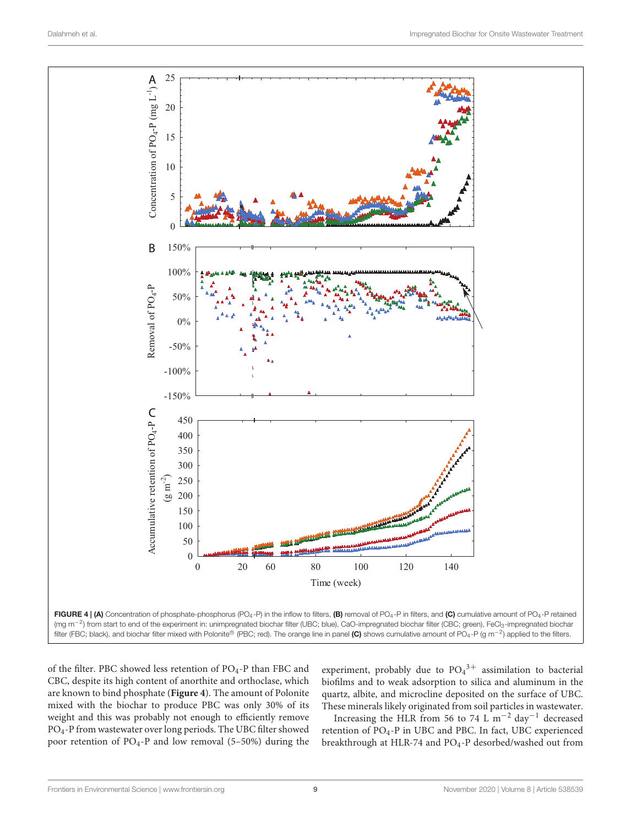

<span id="page-8-0"></span>of the filter. PBC showed less retention of  $PO_4$ -P than FBC and CBC, despite its high content of anorthite and orthoclase, which are known to bind phosphate (**[Figure 4](#page-8-0)**). The amount of Polonite mixed with the biochar to produce PBC was only 30% of its weight and this was probably not enough to efficiently remove PO4-P from wastewater over long periods. The UBC filter showed poor retention of PO4-P and low removal (5–50%) during the experiment, probably due to  $PO_4^{3+}$  assimilation to bacterial biofilms and to weak adsorption to silica and aluminum in the quartz, albite, and microcline deposited on the surface of UBC. These minerals likely originated from soil particles in wastewater.

Increasing the HLR from 56 to 74 L m−<sup>2</sup> day−<sup>1</sup> decreased retention of PO<sub>4</sub>-P in UBC and PBC. In fact, UBC experienced breakthrough at HLR-74 and PO4-P desorbed/washed out from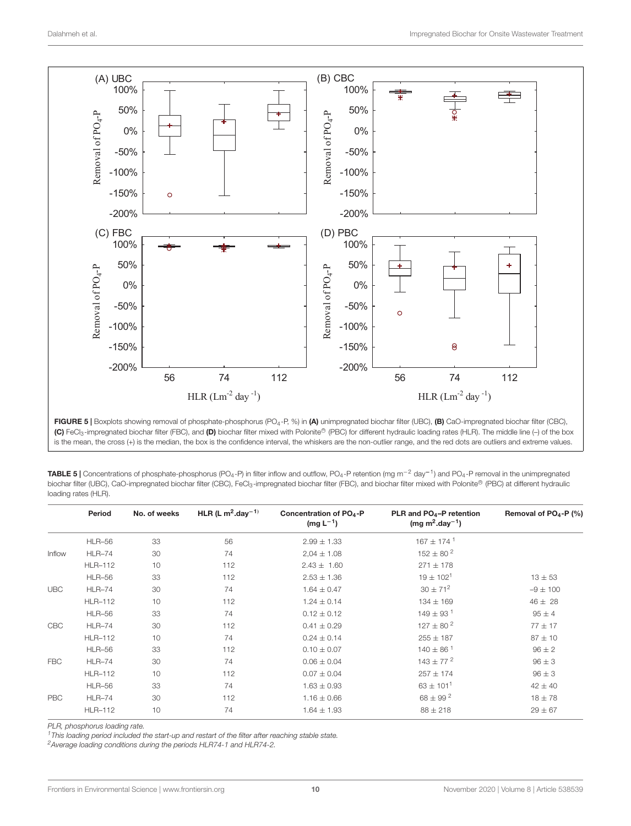

<span id="page-9-0"></span>FIGURE 5 | Boxplots showing removal of phosphate-phosphorus (PO<sub>4</sub>-P, %) in (A) unimpregnated biochar filter (UBC), (B) CaO-impregnated biochar filter (CBC), (C) FeCl<sub>3</sub>-impregnated biochar filter (FBC), and (D) biochar filter mixed with Polonite® (PBC) for different hydraulic loading rates (HLR). The middle line (-) of the box is the mean, the cross (+) is the median, the box is the confidence interval, the whiskers are the non-outlier range, and the red dots are outliers and extreme values.

<span id="page-9-1"></span>

| <b>TABLE 5</b> Concentrations of phosphate-phosphorus (PO <sub>4</sub> -P) in filter inflow and outflow, PO <sub>4</sub> -P retention (mg m <sup>-2</sup> day <sup>-1</sup> ) and PO <sub>4</sub> -P removal in the unimpregnated |
|-----------------------------------------------------------------------------------------------------------------------------------------------------------------------------------------------------------------------------------|
| biochar filter (UBC), CaO-impregnated biochar filter (CBC), FeCl <sub>3</sub> -impregnated biochar filter (FBC), and biochar filter mixed with Polonite® (PBC) at different hydraulic                                             |
| loading rates (HLR).                                                                                                                                                                                                              |

|            | Period         | No. of weeks | HLR (L $m^2$ -day <sup>-1)</sup> | Concentration of PO <sub>4</sub> -P<br>$(mg L^{-1})$ | PLR and PO <sub>4</sub> -P retention<br>(mg m <sup>2</sup> .day <sup>-1</sup> ) | Removal of PO <sub>4</sub> -P (%) |
|------------|----------------|--------------|----------------------------------|------------------------------------------------------|---------------------------------------------------------------------------------|-----------------------------------|
|            | <b>HLR-56</b>  | 33           | 56                               | $2.99 \pm 1.33$                                      | $167 \pm 174$ <sup>1</sup>                                                      |                                   |
| Inflow     | <b>HLR-74</b>  | 30           | 74                               | $2.04 \pm 1.08$                                      | $152 \pm 80^{2}$                                                                |                                   |
|            | <b>HLR-112</b> | 10           | 112                              | $2.43 \pm 1.60$                                      | $271 \pm 178$                                                                   |                                   |
|            | <b>HLR-56</b>  | 33           | 112                              | $2.53 \pm 1.36$                                      | $19 \pm 102^{1}$                                                                | $13 \pm 53$                       |
| <b>UBC</b> | <b>HLR-74</b>  | 30           | 74                               | $1.64 \pm 0.47$                                      | $30 \pm 71^{2}$                                                                 | $-9 \pm 100$                      |
|            | <b>HLR-112</b> | 10           | 112                              | $1.24 \pm 0.14$                                      | $134 \pm 169$                                                                   | $46 \pm 28$                       |
|            | <b>HLR-56</b>  | 33           | 74                               | $0.12 \pm 0.12$                                      | $149 \pm 93$ <sup>1</sup>                                                       | $95 \pm 4$                        |
| CBC        | <b>HLR-74</b>  | 30           | 112                              | $0.41 \pm 0.29$                                      | $127 \pm 80^{2}$                                                                | $77 \pm 17$                       |
|            | <b>HLR-112</b> | 10           | 74                               | $0.24 \pm 0.14$                                      | $255 \pm 187$                                                                   | $87 \pm 10$                       |
|            | <b>HLR-56</b>  | 33           | 112                              | $0.10 \pm 0.07$                                      | $140 \pm 86$ <sup>1</sup>                                                       | $96 \pm 2$                        |
| <b>FBC</b> | <b>HLR-74</b>  | 30           | 74                               | $0.06 \pm 0.04$                                      | $143 \pm 77^{2}$                                                                | $96 \pm 3$                        |
|            | <b>HLR-112</b> | 10           | 112                              | $0.07 \pm 0.04$                                      | $257 \pm 174$                                                                   | $96 \pm 3$                        |
|            | <b>HLR-56</b>  | 33           | 74                               | $1.63 \pm 0.93$                                      | $63 \pm 101^{1}$                                                                | $42 \pm 40$                       |
| <b>PBC</b> | $HLR-74$       | 30           | 112                              | $1.16 \pm 0.66$                                      | $68 \pm 99^{2}$                                                                 | $18 \pm 78$                       |
|            | <b>HLR-112</b> | 10           | 74                               | $1.64 \pm 1.93$                                      | $88 \pm 218$                                                                    | $29 \pm 67$                       |

PLR, phosphorus loading rate.

 $1$ This loading period included the start-up and restart of the filter after reaching stable state.

<sup>2</sup>Average loading conditions during the periods HLR74-1 and HLR74-2.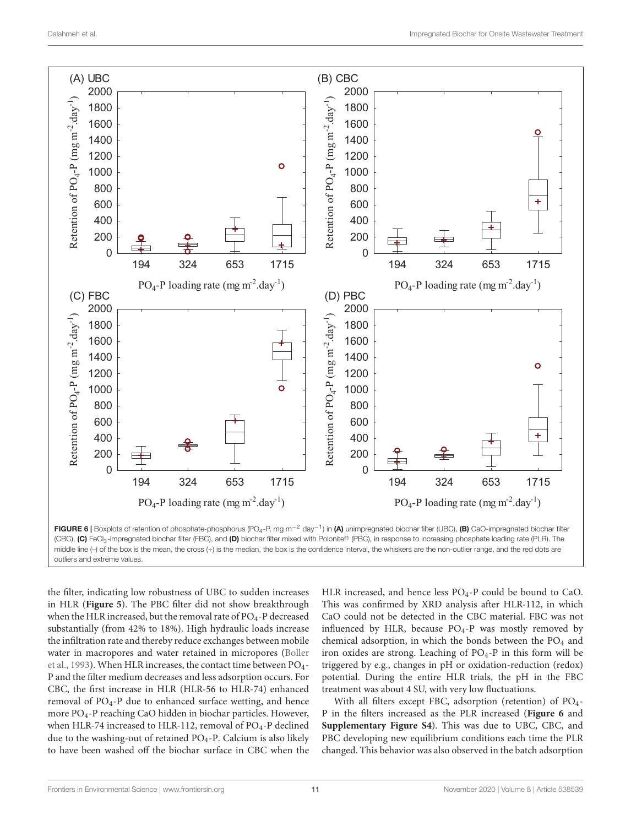

<span id="page-10-0"></span>(CBC), (C) FeCl<sub>3</sub>-impregnated biochar filter (FBC), and (D) biochar filter mixed with Polonite® (PBC), in response to increasing phosphate loading rate (PLR). The middle line (-) of the box is the mean, the cross (+) is the median, the box is the confidence interval, the whiskers are the non-outlier range, and the red dots are outliers and extreme values.

the filter, indicating low robustness of UBC to sudden increases in HLR (**[Figure 5](#page-9-0)**). The PBC filter did not show breakthrough when the HLR increased, but the removal rate of  $PO<sub>4</sub>-P$  decreased substantially (from 42% to 18%). High hydraulic loads increase the infiltration rate and thereby reduce exchanges between mobile water in macropores and water retained in micropores [\(Boller](#page-12-24) [et al.,](#page-12-24) [1993\)](#page-12-24). When HLR increases, the contact time between PO<sub>4</sub>-P and the filter medium decreases and less adsorption occurs. For CBC, the first increase in HLR (HLR-56 to HLR-74) enhanced removal of  $PO<sub>4</sub> - P$  due to enhanced surface wetting, and hence more PO4-P reaching CaO hidden in biochar particles. However, when HLR-74 increased to HLR-112, removal of  $PO_4$ -P declined due to the washing-out of retained PO4-P. Calcium is also likely to have been washed off the biochar surface in CBC when the

HLR increased, and hence less  $PO_4$ -P could be bound to CaO. This was confirmed by XRD analysis after HLR-112, in which CaO could not be detected in the CBC material. FBC was not influenced by HLR, because PO4-P was mostly removed by chemical adsorption, in which the bonds between the  $PO<sub>4</sub>$  and iron oxides are strong. Leaching of PO4-P in this form will be triggered by e.g., changes in pH or oxidation-reduction (redox) potential. During the entire HLR trials, the pH in the FBC treatment was about 4 SU, with very low fluctuations.

With all filters except FBC, adsorption (retention) of PO<sub>4</sub>-P in the filters increased as the PLR increased (**[Figure 6](#page-10-0)** and **[Supplementary Figure S4](#page-12-18)**). This was due to UBC, CBC, and PBC developing new equilibrium conditions each time the PLR changed. This behavior was also observed in the batch adsorption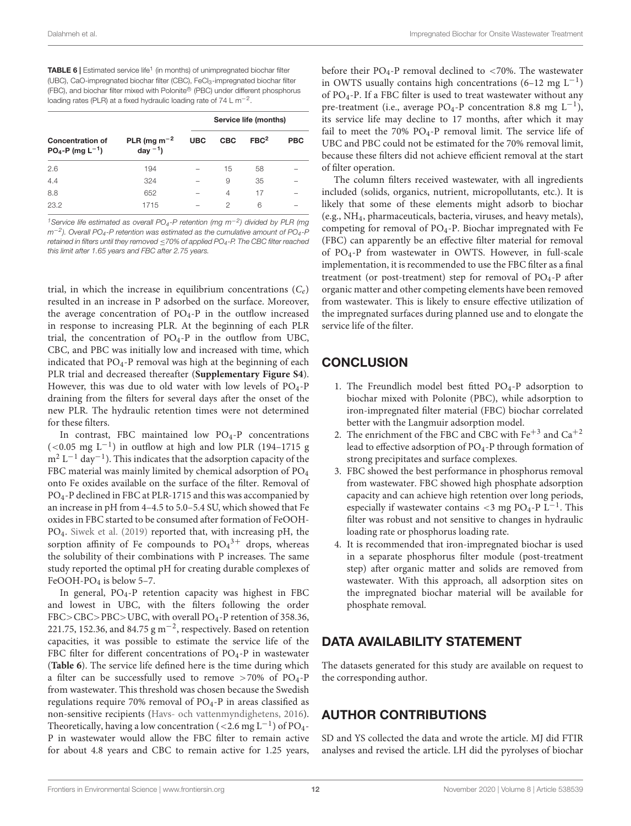<span id="page-11-0"></span>TABLE 6 | Estimated service life<sup>1</sup> (in months) of unimpregnated biochar filter (UBC), CaO-impregnated biochar filter (CBC), FeCl3-impregnated biochar filter (FBC), and biochar filter mixed with Polonite® (PBC) under different phosphorus loading rates (PLR) at a fixed hydraulic loading rate of  $74 \, \mathsf{L} \, \mathsf{m}^{-2}$ .

|                                                            |                                                       | Service life (months) |            |                  |            |  |
|------------------------------------------------------------|-------------------------------------------------------|-----------------------|------------|------------------|------------|--|
| <b>Concentration of</b><br>$PO_4$ -P (mg L <sup>-1</sup> ) | PLR (mg m <sup><math>-2</math></sup><br>day $^{-1}$ ) | <b>UBC</b>            | <b>CBC</b> | FBC <sup>2</sup> | <b>PBC</b> |  |
| 2.6                                                        | 194                                                   |                       | 15         | 58               |            |  |
| 4.4                                                        | 324                                                   |                       | 9          | 35               |            |  |
| 8.8                                                        | 652                                                   |                       | 4          | 17               |            |  |
| 23.2                                                       | 1715                                                  |                       | 2          | 6                |            |  |

<sup>1</sup>Service life estimated as overall PO<sub>4</sub>-P retention (mg m<sup>-2</sup>) divided by PLR (mg  $m^{-2}$ ). Overall PO<sub>4</sub>-P retention was estimated as the cumulative amount of PO<sub>4</sub>-P retained in filters until they removed ≤70% of applied PO4-P. The CBC filter reached this limit after 1.65 years and FBC after 2.75 years.

trial, in which the increase in equilibrium concentrations  $(C_e)$ resulted in an increase in P adsorbed on the surface. Moreover, the average concentration of  $PO<sub>4</sub>-P$  in the outflow increased in response to increasing PLR. At the beginning of each PLR trial, the concentration of  $PO_4-P$  in the outflow from UBC, CBC, and PBC was initially low and increased with time, which indicated that  $PO<sub>4</sub>$ -P removal was high at the beginning of each PLR trial and decreased thereafter (**[Supplementary Figure S4](#page-12-18)**). However, this was due to old water with low levels of PO4-P draining from the filters for several days after the onset of the new PLR. The hydraulic retention times were not determined for these filters.

In contrast, FBC maintained low  $PO<sub>4</sub>-P$  concentrations (<0.05 mg  $L^{-1}$ ) in outflow at high and low PLR (194-1715 g  $m^2 L^{-1}$  day<sup>-1</sup>). This indicates that the adsorption capacity of the FBC material was mainly limited by chemical adsorption of PO<sup>4</sup> onto Fe oxides available on the surface of the filter. Removal of PO4-P declined in FBC at PLR-1715 and this was accompanied by an increase in pH from 4–4.5 to 5.0–5.4 SU, which showed that Fe oxides in FBC started to be consumed after formation of FeOOH-PO4. [Siwek et al.](#page-13-5) [\(2019\)](#page-13-5) reported that, with increasing pH, the sorption affinity of Fe compounds to  $PO_4^3$ <sup>+</sup> drops, whereas the solubility of their combinations with P increases. The same study reported the optimal pH for creating durable complexes of FeOOH-PO<sub>4</sub> is below 5-7.

In general,  $PO_4$ -P retention capacity was highest in FBC and lowest in UBC, with the filters following the order FBC>CBC>PBC>UBC, with overall PO4-P retention of 358.36, 221.75, 152.36, and 84.75  $\rm g\,m^{-2}$ , respectively. Based on retention capacities, it was possible to estimate the service life of the FBC filter for different concentrations of  $PO<sub>4</sub>$ -P in wastewater (**[Table 6](#page-11-0)**). The service life defined here is the time during which a filter can be successfully used to remove  $>70\%$  of PO<sub>4</sub>-P from wastewater. This threshold was chosen because the Swedish regulations require 70% removal of  $PO<sub>4</sub>$ -P in areas classified as non-sensitive recipients [\(Havs- och vattenmyndighetens,](#page-12-1) [2016\)](#page-12-1). Theoretically, having a low concentration (<2.6 mg  $L^{-1}$ ) of PO<sub>4</sub>-P in wastewater would allow the FBC filter to remain active for about 4.8 years and CBC to remain active for 1.25 years,

before their PO<sub>4</sub>-P removal declined to <70%. The wastewater in OWTS usually contains high concentrations  $(6-12 \text{ mg L}^{-1})$ of PO4-P. If a FBC filter is used to treat wastewater without any pre-treatment (i.e., average PO<sub>4</sub>-P concentration 8.8 mg  $L^{-1}$ ), its service life may decline to 17 months, after which it may fail to meet the 70%  $PO<sub>4</sub>-P$  removal limit. The service life of UBC and PBC could not be estimated for the 70% removal limit, because these filters did not achieve efficient removal at the start of filter operation.

The column filters received wastewater, with all ingredients included (solids, organics, nutrient, micropollutants, etc.). It is likely that some of these elements might adsorb to biochar (e.g., NH4, pharmaceuticals, bacteria, viruses, and heavy metals), competing for removal of PO4-P. Biochar impregnated with Fe (FBC) can apparently be an effective filter material for removal of PO4-P from wastewater in OWTS. However, in full-scale implementation, it is recommended to use the FBC filter as a final treatment (or post-treatment) step for removal of PO4-P after organic matter and other competing elements have been removed from wastewater. This is likely to ensure effective utilization of the impregnated surfaces during planned use and to elongate the service life of the filter.

# **CONCLUSION**

- 1. The Freundlich model best fitted PO4-P adsorption to biochar mixed with Polonite (PBC), while adsorption to iron-impregnated filter material (FBC) biochar correlated better with the Langmuir adsorption model.
- 2. The enrichment of the FBC and CBC with  $Fe^{+3}$  and  $Ca^{+2}$ lead to effective adsorption of PO<sub>4</sub>-P through formation of strong precipitates and surface complexes.
- 3. FBC showed the best performance in phosphorus removal from wastewater. FBC showed high phosphate adsorption capacity and can achieve high retention over long periods, especially if wastewater contains <3 mg PO<sub>4</sub>-P L<sup>-1</sup>. This filter was robust and not sensitive to changes in hydraulic loading rate or phosphorus loading rate.
- 4. It is recommended that iron-impregnated biochar is used in a separate phosphorus filter module (post-treatment step) after organic matter and solids are removed from wastewater. With this approach, all adsorption sites on the impregnated biochar material will be available for phosphate removal.

# DATA AVAILABILITY STATEMENT

The datasets generated for this study are available on request to the corresponding author.

# AUTHOR CONTRIBUTIONS

SD and YS collected the data and wrote the article. MJ did FTIR analyses and revised the article. LH did the pyrolyses of biochar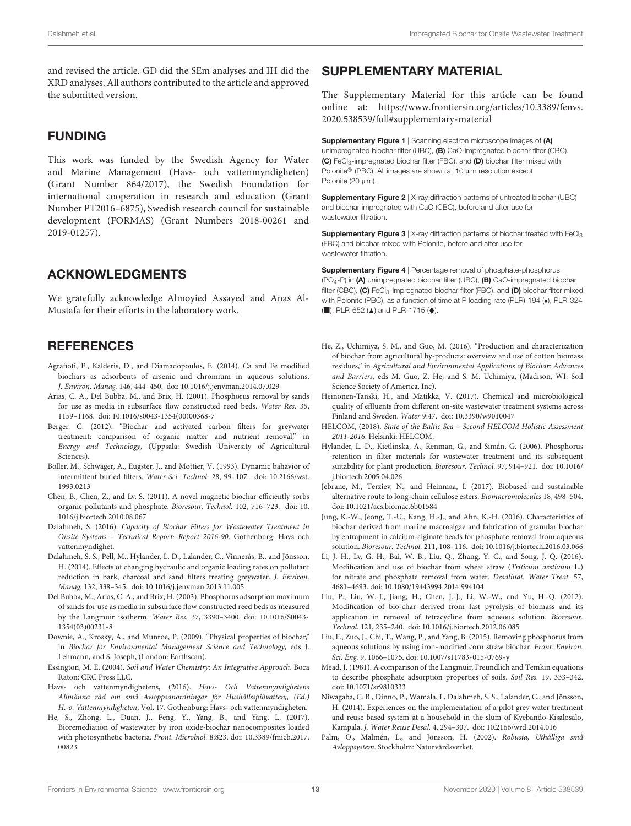and revised the article. GD did the SEm analyses and IH did the XRD analyses. All authors contributed to the article and approved the submitted version.

### FUNDING

This work was funded by the Swedish Agency for Water and Marine Management (Havs- och vattenmyndigheten) (Grant Number 864/2017), the Swedish Foundation for international cooperation in research and education (Grant Number PT2016–6875), Swedish research council for sustainable development (FORMAS) (Grant Numbers 2018-00261 and 2019-01257).

# ACKNOWLEDGMENTS

We gratefully acknowledge Almoyied Assayed and Anas Al-Mustafa for their efforts in the laboratory work.

# **REFERENCES**

- <span id="page-12-14"></span>Agrafioti, E., Kalderis, D., and Diamadopoulos, E. (2014). Ca and Fe modified biochars as adsorbents of arsenic and chromium in aqueous solutions. J. Environ. Manag. 146, 444–450. [doi: 10.1016/j.jenvman.2014.07.029](https://doi.org/10.1016/j.jenvman.2014.07.029)
- <span id="page-12-22"></span>Arias, C. A., Del Bubba, M., and Brix, H. (2001). Phosphorus removal by sands for use as media in subsurface flow constructed reed beds. Water Res. 35, 1159–1168. [doi: 10.1016/s0043-1354\(00\)00368-7](https://doi.org/10.1016/s0043-1354(00)00368-7)
- <span id="page-12-5"></span>Berger, C. (2012). "Biochar and activated carbon filters for greywater treatment: comparison of organic matter and nutrient removal," in Energy and Technology, (Uppsala: Swedish University of Agricultural Sciences).
- <span id="page-12-24"></span>Boller, M., Schwager, A., Eugster, J., and Mottier, V. (1993). Dynamic bahavior of intermittent buried filters. Water Sci. Technol. 28, 99–107. [doi: 10.2166/wst.](https://doi.org/10.2166/wst.1993.0213) [1993.0213](https://doi.org/10.2166/wst.1993.0213)
- <span id="page-12-9"></span>Chen, B., Chen, Z., and Lv, S. (2011). A novel magnetic biochar efficiently sorbs organic pollutants and phosphate. Bioresour. Technol. 102, 716–723. [doi: 10.](https://doi.org/10.1016/j.biortech.2010.08.067) [1016/j.biortech.2010.08.067](https://doi.org/10.1016/j.biortech.2010.08.067)
- <span id="page-12-7"></span>Dalahmeh, S. (2016). Capacity of Biochar Filters for Wastewater Treatment in Onsite Systems – Technical Report: Report 2016-90. Gothenburg: Havs och vattenmyndighet.
- <span id="page-12-21"></span>Dalahmeh, S. S., Pell, M., Hylander, L. D., Lalander, C., Vinnerås, B., and Jönsson, H. (2014). Effects of changing hydraulic and organic loading rates on pollutant reduction in bark, charcoal and sand filters treating greywater. J. Environ. Manag. 132, 338–345. [doi: 10.1016/j.jenvman.2013.11.005](https://doi.org/10.1016/j.jenvman.2013.11.005)
- <span id="page-12-11"></span>Del Bubba, M., Arias, C. A., and Brix, H. (2003). Phosphorus adsorption maximum of sands for use as media in subsurface flow constructed reed beds as measured by the Langmuir isotherm. Water Res. 37, 3390–3400. [doi: 10.1016/S0043-](https://doi.org/10.1016/S0043-1354(03)00231-8) [1354\(03\)00231-8](https://doi.org/10.1016/S0043-1354(03)00231-8)
- <span id="page-12-3"></span>Downie, A., Krosky, A., and Munroe, P. (2009). "Physical properties of biochar," in Biochar for Environmental Management Science and Technology, eds J. Lehmann, and S. Joseph, (London: Earthscan).
- <span id="page-12-19"></span>Essington, M. E. (2004). Soil and Water Chemistry: An Integrative Approach. Boca Raton: CRC Press LLC.
- <span id="page-12-1"></span>Havs- och vattenmyndighetens, (2016). Havs- Och Vattenmyndighetens Allmänna råd om små Avloppsanordningar för Hushållsspillvatten;, (Ed.) H.-o. Vattenmyndigheten, Vol. 17. Gothenburg: Havs- och vattenmyndigheten.
- <span id="page-12-8"></span>He, S., Zhong, L., Duan, J., Feng, Y., Yang, B., and Yang, L. (2017). Bioremediation of wastewater by iron oxide-biochar nanocomposites loaded with photosynthetic bacteria. Front. Microbiol. 8:823. [doi: 10.3389/fmicb.2017.](https://doi.org/10.3389/fmicb.2017.00823) [00823](https://doi.org/10.3389/fmicb.2017.00823)

# <span id="page-12-18"></span>SUPPLEMENTARY MATERIAL

The Supplementary Material for this article can be found online at: [https://www.frontiersin.org/articles/10.3389/fenvs.](https://www.frontiersin.org/articles/10.3389/fenvs.2020.538539/full#supplementary-material) [2020.538539/full#supplementary-material](https://www.frontiersin.org/articles/10.3389/fenvs.2020.538539/full#supplementary-material)

Supplementary Figure 1 | Scanning electron microscope images of (A) unimpregnated biochar filter (UBC), (B) CaO-impregnated biochar filter (CBC), (C) FeCl<sub>3</sub>-impregnated biochar filter (FBC), and (D) biochar filter mixed with Polonite<sup>®</sup> (PBC). All images are shown at 10 µm resolution except Polonite (20  $\mu$ m).

**Supplementary Figure 2** | X-ray diffraction patterns of untreated biochar (UBC) and biochar impregnated with CaO (CBC), before and after use for wastewater filtration.

**Supplementary Figure 3** | X-ray diffraction patterns of biochar treated with FeCl<sub>3</sub> (FBC) and biochar mixed with Polonite, before and after use for wastewater filtration.

Supplementary Figure 4 | Percentage removal of phosphate-phosphorus  $(PO<sub>4</sub>-P)$  in (A) unimpregnated biochar filter (UBC), (B) CaO-impregnated biochar filter (CBC),  $(C)$  FeCl<sub>3</sub>-impregnated biochar filter (FBC), and  $(D)$  biochar filter mixed with Polonite (PBC), as a function of time at P loading rate (PLR)-194 (.), PLR-324  $(\blacksquare)$ , PLR-652  $(\blacktriangle)$  and PLR-1715  $(\blacklozenge)$ .

- <span id="page-12-4"></span>He, Z., Uchimiya, S. M., and Guo, M. (2016). "Production and characterization of biochar from agricultural by-products: overview and use of cotton biomass residues," in Agricultural and Environmental Applications of Biochar: Advances and Barriers, eds M. Guo, Z. He, and S. M. Uchimiya, (Madison, WI: Soil Science Society of America, Inc).
- <span id="page-12-2"></span>Heinonen-Tanski, H., and Matikka, V. (2017). Chemical and microbiological quality of effluents from different on-site wastewater treatment systems across Finland and Sweden. Water 9:47. [doi: 10.3390/w9010047](https://doi.org/10.3390/w9010047)
- <span id="page-12-0"></span>HELCOM, (2018). State of the Baltic Sea – Second HELCOM Holistic Assessment 2011-2016. Helsinki: HELCOM.
- <span id="page-12-23"></span>Hylander, L. D., Kietlinska, A., Renman, G., and Simán, G. (2006). Phosphorus retention in filter materials for wastewater treatment and its subsequent suitability for plant production. Bioresour. Technol. 97, 914–921. [doi: 10.1016/](https://doi.org/10.1016/j.biortech.2005.04.026) [j.biortech.2005.04.026](https://doi.org/10.1016/j.biortech.2005.04.026)
- <span id="page-12-16"></span>Jebrane, M., Terziev, N., and Heinmaa, I. (2017). Biobased and sustainable alternative route to long-chain cellulose esters. Biomacromolecules 18, 498–504. [doi: 10.1021/acs.biomac.6b01584](https://doi.org/10.1021/acs.biomac.6b01584)
- <span id="page-12-13"></span>Jung, K.-W., Jeong, T.-U., Kang, H.-J., and Ahn, K.-H. (2016). Characteristics of biochar derived from marine macroalgae and fabrication of granular biochar by entrapment in calcium-alginate beads for phosphate removal from aqueous solution. Bioresour. Technol. 211, 108–116. [doi: 10.1016/j.biortech.2016.03.066](https://doi.org/10.1016/j.biortech.2016.03.066)
- <span id="page-12-10"></span>Li, J. H., Lv, G. H., Bai, W. B., Liu, Q., Zhang, Y. C., and Song, J. Q. (2016). Modification and use of biochar from wheat straw (Triticum aestivum L.) for nitrate and phosphate removal from water. Desalinat. Water Treat. 57, 4681–4693. [doi: 10.1080/19443994.2014.994104](https://doi.org/10.1080/19443994.2014.994104)
- <span id="page-12-12"></span>Liu, P., Liu, W.-J., Jiang, H., Chen, J.-J., Li, W.-W., and Yu, H.-Q. (2012). Modification of bio-char derived from fast pyrolysis of biomass and its application in removal of tetracycline from aqueous solution. Bioresour. Technol. 121, 235–240. [doi: 10.1016/j.biortech.2012.06.085](https://doi.org/10.1016/j.biortech.2012.06.085)
- <span id="page-12-20"></span>Liu, F., Zuo, J., Chi, T., Wang, P., and Yang, B. (2015). Removing phosphorus from aqueous solutions by using iron-modified corn straw biochar. Front. Environ. Sci. Eng. 9, 1066–1075. [doi: 10.1007/s11783-015-0769-y](https://doi.org/10.1007/s11783-015-0769-y)
- <span id="page-12-17"></span>Mead, J. (1981). A comparison of the Langmuir, Freundlich and Temkin equations to describe phosphate adsorption properties of soils. Soil Res. 19, 333–342. [doi: 10.1071/sr9810333](https://doi.org/10.1071/sr9810333)
- <span id="page-12-6"></span>Niwagaba, C. B., Dinno, P., Wamala, I., Dalahmeh, S. S., Lalander, C., and Jönsson, H. (2014). Experiences on the implementation of a pilot grey water treatment and reuse based system at a household in the slum of Kyebando-Kisalosalo, Kampala. J. Water Reuse Desal. 4, 294–307. [doi: 10.2166/wrd.2014.016](https://doi.org/10.2166/wrd.2014.016)
- <span id="page-12-15"></span>Palm, O., Malmén, L., and Jönsson, H. (2002). Robusta, Uthålliga små Avloppsystem. Stockholm: Naturvårdsverket.